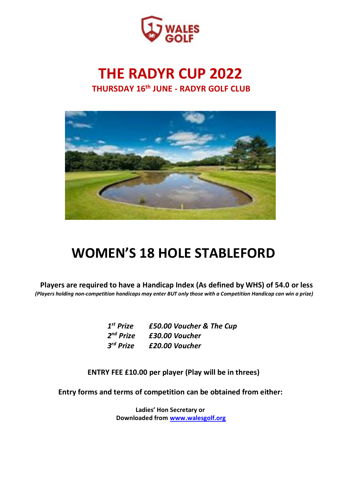

## **THE RADYR CUP 2022 THURSDAY 16 th JUNE - RADYR GOLF CLUB**



# **WOMEN'S 18 HOLE STABLEFORD**

**Players are required to have a Handicap Index (As defined by WHS) of 54.0 or less** *(Players holding non-competition handicaps may enter BUT only those with a Competition Handicap can win a prize)*

> *1 st Prize £50.00 Voucher & The Cup*  2<sup>nd</sup> Prize *nd Prize £30.00 Voucher 3 rd Prize £20.00 Voucher*

**ENTRY FEE £10.00 per player (Play will be in threes)**

**Entry forms and terms of competition can be obtained from either:**

**Ladies' Hon Secretary or Downloaded from [www.walesgolf.org](http://www.walesgolf.org/)**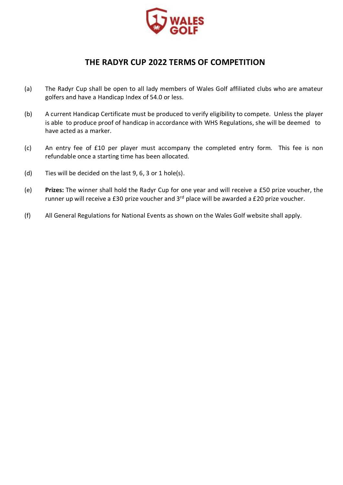

#### **THE RADYR CUP 2022 TERMS OF COMPETITION**

- (a) The Radyr Cup shall be open to all lady members of Wales Golf affiliated clubs who are amateur golfers and have a Handicap Index of 54.0 or less.
- (b) A current Handicap Certificate must be produced to verify eligibility to compete. Unless the player is able to produce proof of handicap in accordance with WHS Regulations, she will be deemed to have acted as a marker.
- (c) An entry fee of £10 per player must accompany the completed entry form. This fee is non refundable once a starting time has been allocated.
- (d) Ties will be decided on the last 9, 6, 3 or 1 hole(s).
- (e) **Prizes:** The winner shall hold the Radyr Cup for one year and will receive a £50 prize voucher, the runner up will receive a £30 prize voucher and 3<sup>rd</sup> place will be awarded a £20 prize voucher.
- (f) All General Regulations for National Events as shown on the Wales Golf website shall apply.